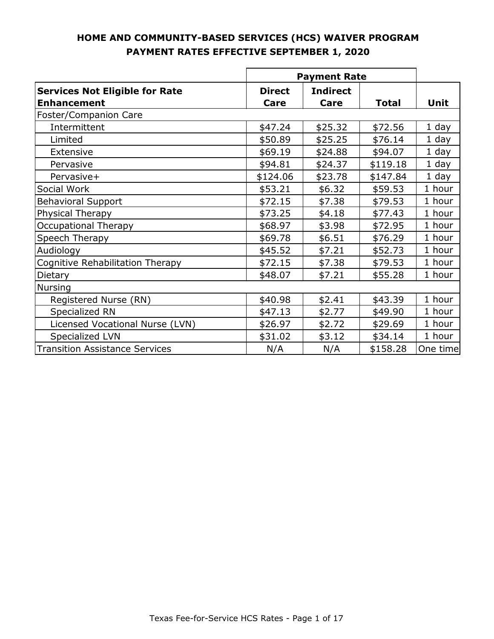|                                                             | <b>Payment Rate</b>   |                         |              |          |
|-------------------------------------------------------------|-----------------------|-------------------------|--------------|----------|
| <b>Services Not Eligible for Rate</b><br><b>Enhancement</b> | <b>Direct</b><br>Care | <b>Indirect</b><br>Care | <b>Total</b> | Unit     |
| Foster/Companion Care                                       |                       |                         |              |          |
| Intermittent                                                | \$47.24               | \$25.32                 | \$72.56      | $1$ day  |
| Limited                                                     | \$50.89               | \$25.25                 | \$76.14      | 1 day    |
| Extensive                                                   | \$69.19               | \$24.88                 | \$94.07      | $1$ day  |
| Pervasive                                                   | \$94.81               | \$24.37                 | \$119.18     | 1 day    |
| Pervasive+                                                  | \$124.06              | \$23.78                 | \$147.84     | 1 day    |
| Social Work                                                 | \$53.21               | \$6.32                  | \$59.53      | 1 hour   |
| <b>Behavioral Support</b>                                   | \$72.15               | \$7.38                  | \$79.53      | 1 hour   |
| Physical Therapy                                            | \$73.25               | \$4.18                  | \$77.43      | 1 hour   |
| <b>Occupational Therapy</b>                                 | \$68.97               | \$3.98                  | \$72.95      | 1 hour   |
| Speech Therapy                                              | \$69.78               | \$6.51                  | \$76.29      | 1 hour   |
| Audiology                                                   | \$45.52               | \$7.21                  | \$52.73      | 1 hour   |
| Cognitive Rehabilitation Therapy                            | \$72.15               | \$7.38                  | \$79.53      | 1 hour   |
| Dietary                                                     | \$48.07               | \$7.21                  | \$55.28      | 1 hour   |
| <b>Nursing</b>                                              |                       |                         |              |          |
| Registered Nurse (RN)                                       | \$40.98               | \$2.41                  | \$43.39      | 1 hour   |
| Specialized RN                                              | \$47.13               | \$2.77                  | \$49.90      | 1 hour   |
| Licensed Vocational Nurse (LVN)                             | \$26.97               | \$2.72                  | \$29.69      | 1 hour   |
| Specialized LVN                                             | \$31.02               | \$3.12                  | \$34.14      | 1 hour   |
| <b>Transition Assistance Services</b>                       | N/A                   | N/A                     | \$158.28     | One time |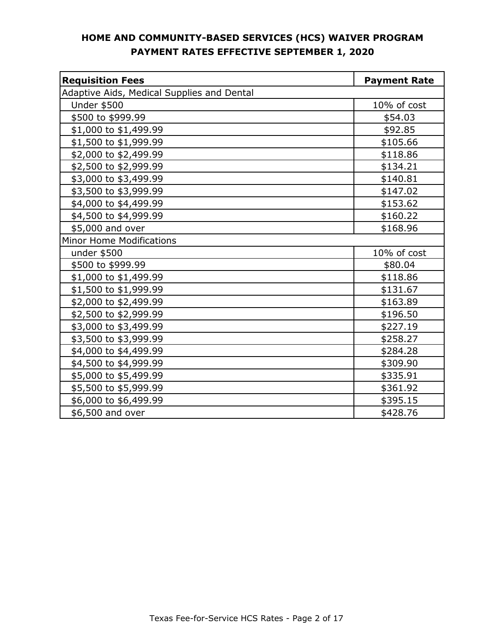| <b>Requisition Fees</b>                    | <b>Payment Rate</b> |
|--------------------------------------------|---------------------|
| Adaptive Aids, Medical Supplies and Dental |                     |
| <b>Under \$500</b>                         | 10% of cost         |
| \$500 to \$999.99                          | \$54.03             |
| \$1,000 to \$1,499.99                      | \$92.85             |
| \$1,500 to \$1,999.99                      | \$105.66            |
| \$2,000 to \$2,499.99                      | \$118.86            |
| \$2,500 to \$2,999.99                      | \$134.21            |
| \$3,000 to \$3,499.99                      | \$140.81            |
| \$3,500 to \$3,999.99                      | \$147.02            |
| \$4,000 to \$4,499.99                      | \$153.62            |
| \$4,500 to \$4,999.99                      | \$160.22            |
| \$5,000 and over                           | \$168.96            |
| Minor Home Modifications                   |                     |
| under \$500                                | 10% of cost         |
| \$500 to \$999.99                          | \$80.04             |
| \$1,000 to \$1,499.99                      | \$118.86            |
| \$1,500 to \$1,999.99                      | \$131.67            |
| \$2,000 to \$2,499.99                      | \$163.89            |
| \$2,500 to \$2,999.99                      | \$196.50            |
| \$3,000 to \$3,499.99                      | \$227.19            |
| \$3,500 to \$3,999.99                      | \$258.27            |
| \$4,000 to \$4,499.99                      | \$284.28            |
| \$4,500 to \$4,999.99                      | \$309.90            |
| \$5,000 to \$5,499.99                      | \$335.91            |
| \$5,500 to \$5,999.99                      | \$361.92            |
| \$6,000 to \$6,499.99                      | \$395.15            |
| \$6,500 and over                           | \$428.76            |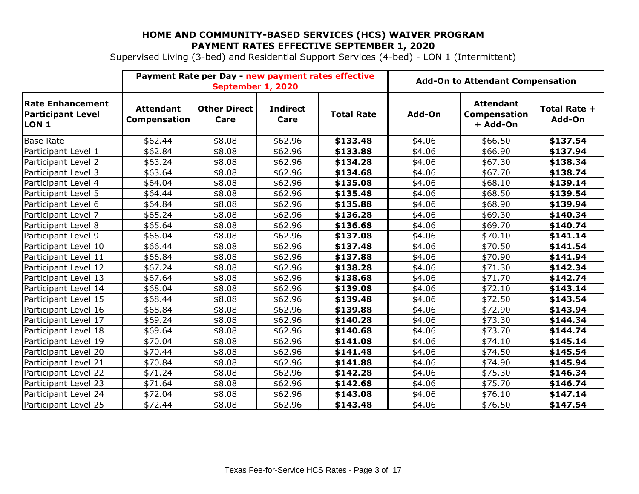Supervised Living (3-bed) and Residential Support Services (4-bed) - LON 1 (Intermittent)

|                                                                     | Payment Rate per Day - new payment rates effective<br>September 1, 2020 |                             |                         | <b>Add-On to Attendant Compensation</b> |        |                                                     |                        |
|---------------------------------------------------------------------|-------------------------------------------------------------------------|-----------------------------|-------------------------|-----------------------------------------|--------|-----------------------------------------------------|------------------------|
| <b>Rate Enhancement</b><br><b>Participant Level</b><br><b>LON 1</b> | <b>Attendant</b><br>Compensation                                        | <b>Other Direct</b><br>Care | <b>Indirect</b><br>Care | <b>Total Rate</b>                       | Add-On | <b>Attendant</b><br><b>Compensation</b><br>+ Add-On | Total Rate +<br>Add-On |
| <b>Base Rate</b>                                                    | \$62.44                                                                 | \$8.08                      | \$62.96                 | \$133.48                                | \$4.06 | \$66.50                                             | \$137.54               |
| Participant Level 1                                                 | \$62.84                                                                 | \$8.08                      | \$62.96                 | \$133.88                                | \$4.06 | \$66.90                                             | \$137.94               |
| Participant Level 2                                                 | \$63.24                                                                 | \$8.08                      | \$62.96                 | \$134.28                                | \$4.06 | \$67.30                                             | \$138.34               |
| Participant Level 3                                                 | \$63.64                                                                 | \$8.08                      | \$62.96                 | \$134.68                                | \$4.06 | \$67.70                                             | \$138.74               |
| Participant Level 4                                                 | \$64.04                                                                 | \$8.08                      | \$62.96                 | \$135.08                                | \$4.06 | \$68.10                                             | \$139.14               |
| Participant Level 5                                                 | \$64.44                                                                 | \$8.08                      | \$62.96                 | \$135.48                                | \$4.06 | \$68.50                                             | \$139.54               |
| Participant Level 6                                                 | \$64.84                                                                 | \$8.08                      | \$62.96                 | \$135.88                                | \$4.06 | \$68.90                                             | \$139.94               |
| Participant Level 7                                                 | \$65.24                                                                 | \$8.08                      | \$62.96                 | \$136.28                                | \$4.06 | \$69.30                                             | \$140.34               |
| Participant Level 8                                                 | \$65.64                                                                 | \$8.08                      | \$62.96                 | \$136.68                                | \$4.06 | \$69.70                                             | \$140.74               |
| Participant Level 9                                                 | \$66.04                                                                 | \$8.08                      | \$62.96                 | \$137.08                                | \$4.06 | \$70.10                                             | \$141.14               |
| Participant Level 10                                                | \$66.44                                                                 | \$8.08                      | \$62.96                 | \$137.48                                | \$4.06 | \$70.50                                             | \$141.54               |
| Participant Level 11                                                | \$66.84                                                                 | \$8.08                      | \$62.96                 | \$137.88                                | \$4.06 | \$70.90                                             | \$141.94               |
| Participant Level 12                                                | \$67.24                                                                 | \$8.08                      | \$62.96                 | \$138.28                                | \$4.06 | \$71.30                                             | \$142.34               |
| Participant Level 13                                                | \$67.64                                                                 | \$8.08                      | \$62.96                 | \$138.68                                | \$4.06 | \$71.70                                             | \$142.74               |
| Participant Level 14                                                | \$68.04                                                                 | \$8.08                      | \$62.96                 | \$139.08                                | \$4.06 | \$72.10                                             | \$143.14               |
| Participant Level 15                                                | \$68.44                                                                 | \$8.08                      | \$62.96                 | \$139.48                                | \$4.06 | \$72.50                                             | \$143.54               |
| Participant Level 16                                                | \$68.84                                                                 | \$8.08                      | \$62.96                 | \$139.88                                | \$4.06 | \$72.90                                             | \$143.94               |
| Participant Level 17                                                | \$69.24                                                                 | \$8.08                      | \$62.96                 | \$140.28                                | \$4.06 | \$73.30                                             | \$144.34               |
| Participant Level 18                                                | \$69.64                                                                 | \$8.08                      | \$62.96                 | \$140.68                                | \$4.06 | \$73.70                                             | \$144.74               |
| Participant Level 19                                                | \$70.04                                                                 | \$8.08                      | \$62.96                 | \$141.08                                | \$4.06 | \$74.10                                             | \$145.14               |
| Participant Level 20                                                | \$70.44                                                                 | \$8.08                      | \$62.96                 | \$141.48                                | \$4.06 | \$74.50                                             | \$145.54               |
| Participant Level 21                                                | \$70.84                                                                 | \$8.08                      | \$62.96                 | \$141.88                                | \$4.06 | \$74.90                                             | \$145.94               |
| Participant Level 22                                                | \$71.24                                                                 | \$8.08                      | \$62.96                 | \$142.28                                | \$4.06 | \$75.30                                             | \$146.34               |
| Participant Level 23                                                | \$71.64                                                                 | \$8.08                      | \$62.96                 | \$142.68                                | \$4.06 | \$75.70                                             | \$146.74               |
| Participant Level 24                                                | \$72.04                                                                 | \$8.08                      | \$62.96                 | \$143.08                                | \$4.06 | \$76.10                                             | \$147.14               |
| Participant Level 25                                                | \$72.44                                                                 | \$8.08                      | \$62.96                 | \$143.48                                | \$4.06 | \$76.50                                             | \$147.54               |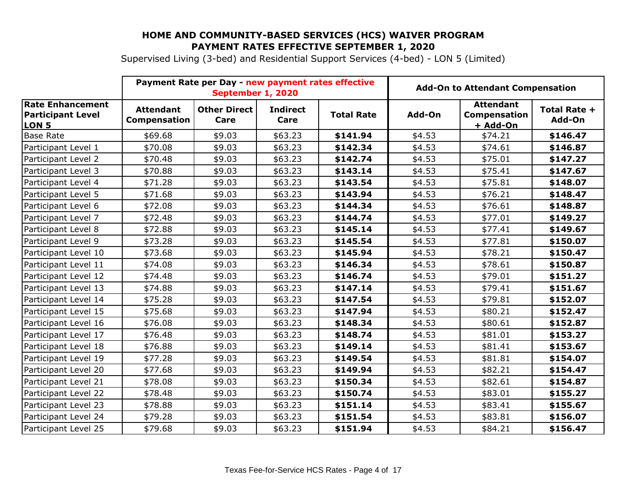Supervised Living (3-bed) and Residential Support Services (4-bed) - LON 5 (Limited)

|                                                                         | Payment Rate per Day - new payment rates effective<br>September 1, 2020 |                             |                         |                   | <b>Add-On to Attendant Compensation</b> |                                              |                        |
|-------------------------------------------------------------------------|-------------------------------------------------------------------------|-----------------------------|-------------------------|-------------------|-----------------------------------------|----------------------------------------------|------------------------|
| <b>Rate Enhancement</b><br><b>Participant Level</b><br>LON <sub>5</sub> | <b>Attendant</b><br>Compensation                                        | <b>Other Direct</b><br>Care | <b>Indirect</b><br>Care | <b>Total Rate</b> | Add-On                                  | <b>Attendant</b><br>Compensation<br>+ Add-On | Total Rate +<br>Add-On |
| <b>Base Rate</b>                                                        | \$69.68                                                                 | \$9.03                      | \$63.23                 | \$141.94          | \$4.53                                  | \$74.21                                      | \$146.47               |
| Participant Level 1                                                     | \$70.08                                                                 | \$9.03                      | \$63.23                 | \$142.34          | \$4.53                                  | \$74.61                                      | \$146.87               |
| Participant Level 2                                                     | \$70.48                                                                 | \$9.03                      | \$63.23                 | \$142.74          | \$4.53                                  | \$75.01                                      | \$147.27               |
| Participant Level 3                                                     | \$70.88                                                                 | \$9.03                      | \$63.23                 | \$143.14          | \$4.53                                  | \$75.41                                      | \$147.67               |
| Participant Level 4                                                     | \$71.28                                                                 | \$9.03                      | \$63.23                 | \$143.54          | \$4.53                                  | \$75.81                                      | \$148.07               |
| Participant Level 5                                                     | \$71.68                                                                 | \$9.03                      | \$63.23                 | \$143.94          | \$4.53                                  | \$76.21                                      | \$148.47               |
| Participant Level 6                                                     | \$72.08                                                                 | \$9.03                      | \$63.23                 | \$144.34          | \$4.53                                  | \$76.61                                      | \$148.87               |
| Participant Level 7                                                     | \$72.48                                                                 | \$9.03                      | \$63.23                 | \$144.74          | \$4.53                                  | \$77.01                                      | \$149.27               |
| Participant Level 8                                                     | \$72.88                                                                 | \$9.03                      | \$63.23                 | \$145.14          | \$4.53                                  | \$77.41                                      | \$149.67               |
| Participant Level 9                                                     | \$73.28                                                                 | \$9.03                      | \$63.23                 | \$145.54          | \$4.53                                  | \$77.81                                      | \$150.07               |
| Participant Level 10                                                    | \$73.68                                                                 | \$9.03                      | \$63.23                 | \$145.94          | \$4.53                                  | \$78.21                                      | \$150.47               |
| Participant Level 11                                                    | \$74.08                                                                 | \$9.03                      | \$63.23                 | \$146.34          | \$4.53                                  | \$78.61                                      | \$150.87               |
| Participant Level 12                                                    | \$74.48                                                                 | \$9.03                      | \$63.23                 | \$146.74          | \$4.53                                  | \$79.01                                      | \$151.27               |
| Participant Level 13                                                    | \$74.88                                                                 | \$9.03                      | \$63.23                 | \$147.14          | \$4.53                                  | \$79.41                                      | \$151.67               |
| Participant Level 14                                                    | \$75.28                                                                 | \$9.03                      | \$63.23                 | \$147.54          | \$4.53                                  | \$79.81                                      | \$152.07               |
| Participant Level 15                                                    | \$75.68                                                                 | \$9.03                      | \$63.23                 | \$147.94          | \$4.53                                  | \$80.21                                      | \$152.47               |
| Participant Level 16                                                    | \$76.08                                                                 | \$9.03                      | \$63.23                 | \$148.34          | \$4.53                                  | \$80.61                                      | \$152.87               |
| Participant Level 17                                                    | \$76.48                                                                 | \$9.03                      | \$63.23                 | \$148.74          | \$4.53                                  | \$81.01                                      | \$153.27               |
| Participant Level 18                                                    | \$76.88                                                                 | \$9.03                      | \$63.23                 | \$149.14          | \$4.53                                  | \$81.41                                      | \$153.67               |
| Participant Level 19                                                    | \$77.28                                                                 | \$9.03                      | \$63.23                 | \$149.54          | \$4.53                                  | \$81.81                                      | \$154.07               |
| Participant Level 20                                                    | \$77.68                                                                 | \$9.03                      | \$63.23                 | \$149.94          | \$4.53                                  | \$82.21                                      | \$154.47               |
| Participant Level 21                                                    | \$78.08                                                                 | \$9.03                      | \$63.23                 | \$150.34          | \$4.53                                  | \$82.61                                      | \$154.87               |
| Participant Level 22                                                    | \$78.48                                                                 | \$9.03                      | \$63.23                 | \$150.74          | \$4.53                                  | \$83.01                                      | \$155.27               |
| Participant Level 23                                                    | \$78.88                                                                 | \$9.03                      | \$63.23                 | \$151.14          | \$4.53                                  | \$83.41                                      | \$155.67               |
| Participant Level 24                                                    | \$79.28                                                                 | \$9.03                      | \$63.23                 | \$151.54          | \$4.53                                  | \$83.81                                      | \$156.07               |
| Participant Level 25                                                    | \$79.68                                                                 | \$9.03                      | \$63.23                 | \$151.94          | \$4.53                                  | \$84.21                                      | \$156.47               |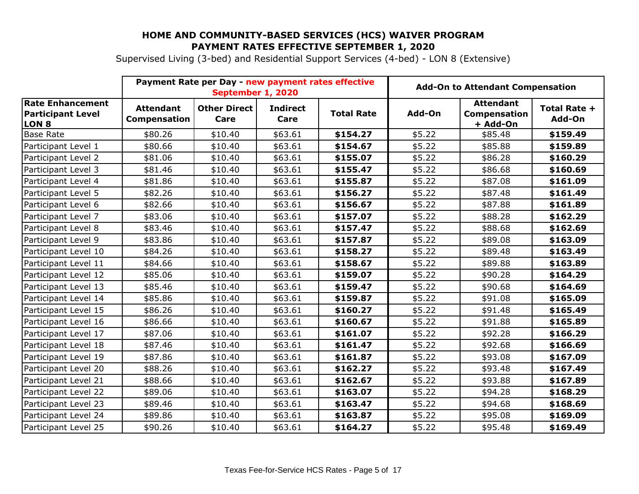Supervised Living (3-bed) and Residential Support Services (4-bed) - LON 8 (Extensive)

|                                                                         | Payment Rate per Day - new payment rates effective<br>September 1, 2020 |                             |                         | <b>Add-On to Attendant Compensation</b> |        |                                                     |                        |
|-------------------------------------------------------------------------|-------------------------------------------------------------------------|-----------------------------|-------------------------|-----------------------------------------|--------|-----------------------------------------------------|------------------------|
| <b>Rate Enhancement</b><br><b>Participant Level</b><br>LON <sub>8</sub> | <b>Attendant</b><br>Compensation                                        | <b>Other Direct</b><br>Care | <b>Indirect</b><br>Care | <b>Total Rate</b>                       | Add-On | <b>Attendant</b><br><b>Compensation</b><br>+ Add-On | Total Rate +<br>Add-On |
| <b>Base Rate</b>                                                        | \$80.26                                                                 | \$10.40                     | \$63.61                 | \$154.27                                | \$5.22 | \$85.48                                             | \$159.49               |
| Participant Level 1                                                     | \$80.66                                                                 | \$10.40                     | \$63.61                 | \$154.67                                | \$5.22 | \$85.88                                             | \$159.89               |
| Participant Level 2                                                     | \$81.06                                                                 | \$10.40                     | \$63.61                 | \$155.07                                | \$5.22 | \$86.28                                             | \$160.29               |
| Participant Level 3                                                     | \$81.46                                                                 | \$10.40                     | \$63.61                 | \$155.47                                | \$5.22 | \$86.68                                             | \$160.69               |
| Participant Level 4                                                     | \$81.86                                                                 | \$10.40                     | \$63.61                 | \$155.87                                | \$5.22 | \$87.08                                             | \$161.09               |
| Participant Level 5                                                     | \$82.26                                                                 | \$10.40                     | \$63.61                 | \$156.27                                | \$5.22 | \$87.48                                             | \$161.49               |
| Participant Level 6                                                     | \$82.66                                                                 | \$10.40                     | \$63.61                 | \$156.67                                | \$5.22 | \$87.88                                             | \$161.89               |
| Participant Level 7                                                     | \$83.06                                                                 | \$10.40                     | \$63.61                 | \$157.07                                | \$5.22 | \$88.28                                             | \$162.29               |
| Participant Level 8                                                     | \$83.46                                                                 | \$10.40                     | \$63.61                 | \$157.47                                | \$5.22 | \$88.68                                             | \$162.69               |
| Participant Level 9                                                     | \$83.86                                                                 | \$10.40                     | \$63.61                 | \$157.87                                | \$5.22 | \$89.08                                             | \$163.09               |
| Participant Level 10                                                    | \$84.26                                                                 | \$10.40                     | \$63.61                 | \$158.27                                | \$5.22 | \$89.48                                             | \$163.49               |
| Participant Level 11                                                    | \$84.66                                                                 | \$10.40                     | \$63.61                 | \$158.67                                | \$5.22 | \$89.88                                             | \$163.89               |
| Participant Level 12                                                    | \$85.06                                                                 | \$10.40                     | \$63.61                 | \$159.07                                | \$5.22 | \$90.28                                             | \$164.29               |
| Participant Level 13                                                    | \$85.46                                                                 | \$10.40                     | \$63.61                 | \$159.47                                | \$5.22 | \$90.68                                             | \$164.69               |
| Participant Level 14                                                    | \$85.86                                                                 | \$10.40                     | \$63.61                 | \$159.87                                | \$5.22 | \$91.08                                             | \$165.09               |
| Participant Level 15                                                    | \$86.26                                                                 | \$10.40                     | \$63.61                 | \$160.27                                | \$5.22 | \$91.48                                             | \$165.49               |
| Participant Level 16                                                    | \$86.66                                                                 | \$10.40                     | \$63.61                 | \$160.67                                | \$5.22 | \$91.88                                             | \$165.89               |
| Participant Level 17                                                    | \$87.06                                                                 | \$10.40                     | \$63.61                 | \$161.07                                | \$5.22 | \$92.28                                             | \$166.29               |
| Participant Level 18                                                    | \$87.46                                                                 | \$10.40                     | \$63.61                 | \$161.47                                | \$5.22 | \$92.68                                             | \$166.69               |
| Participant Level 19                                                    | \$87.86                                                                 | \$10.40                     | \$63.61                 | \$161.87                                | \$5.22 | \$93.08                                             | \$167.09               |
| Participant Level 20                                                    | \$88.26                                                                 | \$10.40                     | \$63.61                 | \$162.27                                | \$5.22 | \$93.48                                             | \$167.49               |
| Participant Level 21                                                    | \$88.66                                                                 | \$10.40                     | \$63.61                 | \$162.67                                | \$5.22 | \$93.88                                             | \$167.89               |
| Participant Level 22                                                    | \$89.06                                                                 | \$10.40                     | \$63.61                 | \$163.07                                | \$5.22 | \$94.28                                             | \$168.29               |
| Participant Level 23                                                    | \$89.46                                                                 | \$10.40                     | \$63.61                 | \$163.47                                | \$5.22 | \$94.68                                             | \$168.69               |
| Participant Level 24                                                    | \$89.86                                                                 | \$10.40                     | \$63.61                 | \$163.87                                | \$5.22 | \$95.08                                             | \$169.09               |
| Participant Level 25                                                    | \$90.26                                                                 | \$10.40                     | \$63.61                 | \$164.27                                | \$5.22 | \$95.48                                             | \$169.49               |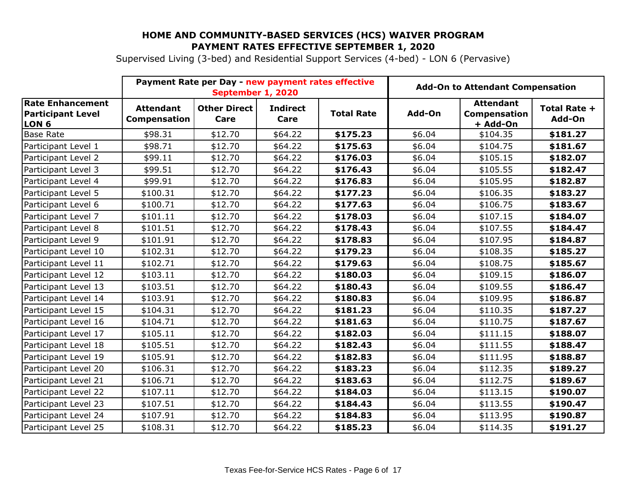Supervised Living (3-bed) and Residential Support Services (4-bed) - LON 6 (Pervasive)

|                                                                         | Payment Rate per Day - new payment rates effective<br>September 1, 2020 |                             |                         | <b>Add-On to Attendant Compensation</b> |        |                                              |                        |
|-------------------------------------------------------------------------|-------------------------------------------------------------------------|-----------------------------|-------------------------|-----------------------------------------|--------|----------------------------------------------|------------------------|
| <b>Rate Enhancement</b><br><b>Participant Level</b><br>LON <sub>6</sub> | <b>Attendant</b><br>Compensation                                        | <b>Other Direct</b><br>Care | <b>Indirect</b><br>Care | <b>Total Rate</b>                       | Add-On | <b>Attendant</b><br>Compensation<br>+ Add-On | Total Rate +<br>Add-On |
| <b>Base Rate</b>                                                        | \$98.31                                                                 | \$12.70                     | \$64.22                 | \$175.23                                | \$6.04 | \$104.35                                     | \$181.27               |
| Participant Level 1                                                     | \$98.71                                                                 | \$12.70                     | \$64.22                 | \$175.63                                | \$6.04 | \$104.75                                     | \$181.67               |
| Participant Level 2                                                     | \$99.11                                                                 | \$12.70                     | \$64.22                 | \$176.03                                | \$6.04 | \$105.15                                     | \$182.07               |
| Participant Level 3                                                     | \$99.51                                                                 | \$12.70                     | \$64.22                 | \$176.43                                | \$6.04 | \$105.55                                     | \$182.47               |
| Participant Level 4                                                     | \$99.91                                                                 | \$12.70                     | \$64.22                 | \$176.83                                | \$6.04 | \$105.95                                     | \$182.87               |
| Participant Level 5                                                     | \$100.31                                                                | \$12.70                     | \$64.22                 | \$177.23                                | \$6.04 | \$106.35                                     | \$183.27               |
| Participant Level 6                                                     | \$100.71                                                                | \$12.70                     | \$64.22                 | \$177.63                                | \$6.04 | \$106.75                                     | \$183.67               |
| Participant Level 7                                                     | \$101.11                                                                | \$12.70                     | \$64.22                 | \$178.03                                | \$6.04 | \$107.15                                     | \$184.07               |
| Participant Level 8                                                     | \$101.51                                                                | \$12.70                     | \$64.22                 | \$178.43                                | \$6.04 | \$107.55                                     | \$184.47               |
| Participant Level 9                                                     | \$101.91                                                                | \$12.70                     | \$64.22                 | \$178.83                                | \$6.04 | \$107.95                                     | \$184.87               |
| Participant Level 10                                                    | \$102.31                                                                | \$12.70                     | \$64.22                 | \$179.23                                | \$6.04 | \$108.35                                     | \$185.27               |
| Participant Level 11                                                    | \$102.71                                                                | \$12.70                     | \$64.22                 | \$179.63                                | \$6.04 | \$108.75                                     | \$185.67               |
| Participant Level 12                                                    | \$103.11                                                                | \$12.70                     | \$64.22                 | \$180.03                                | \$6.04 | \$109.15                                     | \$186.07               |
| Participant Level 13                                                    | \$103.51                                                                | \$12.70                     | \$64.22                 | \$180.43                                | \$6.04 | \$109.55                                     | \$186.47               |
| Participant Level 14                                                    | \$103.91                                                                | \$12.70                     | \$64.22                 | \$180.83                                | \$6.04 | \$109.95                                     | \$186.87               |
| Participant Level 15                                                    | \$104.31                                                                | \$12.70                     | \$64.22                 | \$181.23                                | \$6.04 | \$110.35                                     | \$187.27               |
| Participant Level 16                                                    | \$104.71                                                                | \$12.70                     | \$64.22                 | \$181.63                                | \$6.04 | \$110.75                                     | \$187.67               |
| Participant Level 17                                                    | \$105.11                                                                | \$12.70                     | \$64.22                 | \$182.03                                | \$6.04 | \$111.15                                     | \$188.07               |
| Participant Level 18                                                    | \$105.51                                                                | \$12.70                     | \$64.22                 | \$182.43                                | \$6.04 | \$111.55                                     | \$188.47               |
| Participant Level 19                                                    | \$105.91                                                                | \$12.70                     | \$64.22                 | \$182.83                                | \$6.04 | \$111.95                                     | \$188.87               |
| Participant Level 20                                                    | \$106.31                                                                | \$12.70                     | \$64.22                 | \$183.23                                | \$6.04 | \$112.35                                     | \$189.27               |
| Participant Level 21                                                    | \$106.71                                                                | \$12.70                     | \$64.22                 | \$183.63                                | \$6.04 | \$112.75                                     | \$189.67               |
| Participant Level 22                                                    | \$107.11                                                                | \$12.70                     | \$64.22                 | \$184.03                                | \$6.04 | \$113.15                                     | \$190.07               |
| Participant Level 23                                                    | \$107.51                                                                | \$12.70                     | \$64.22                 | \$184.43                                | \$6.04 | \$113.55                                     | \$190.47               |
| Participant Level 24                                                    | \$107.91                                                                | \$12.70                     | \$64.22                 | \$184.83                                | \$6.04 | \$113.95                                     | \$190.87               |
| Participant Level 25                                                    | \$108.31                                                                | \$12.70                     | \$64.22                 | \$185.23                                | \$6.04 | \$114.35                                     | \$191.27               |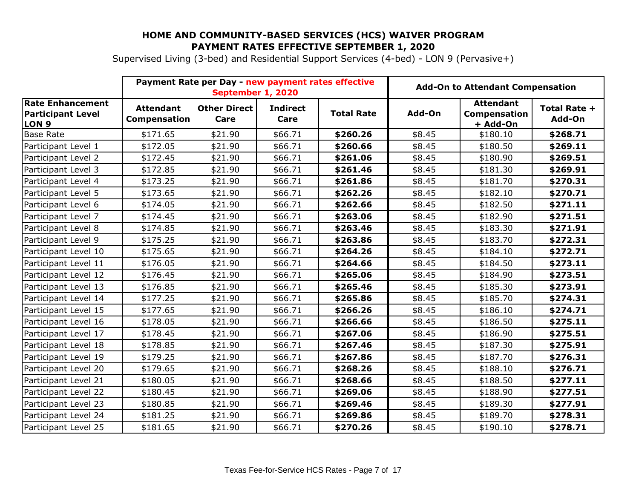Supervised Living (3-bed) and Residential Support Services (4-bed) - LON 9 (Pervasive+)

|                                                                         | Payment Rate per Day - new payment rates effective<br>September 1, 2020 |                             |                         | <b>Add-On to Attendant Compensation</b> |        |                                              |                        |
|-------------------------------------------------------------------------|-------------------------------------------------------------------------|-----------------------------|-------------------------|-----------------------------------------|--------|----------------------------------------------|------------------------|
| <b>Rate Enhancement</b><br><b>Participant Level</b><br>LON <sub>9</sub> | <b>Attendant</b><br><b>Compensation</b>                                 | <b>Other Direct</b><br>Care | <b>Indirect</b><br>Care | <b>Total Rate</b>                       | Add-On | <b>Attendant</b><br>Compensation<br>+ Add-On | Total Rate +<br>Add-On |
| <b>Base Rate</b>                                                        | \$171.65                                                                | \$21.90                     | \$66.71                 | \$260.26                                | \$8.45 | \$180.10                                     | \$268.71               |
| Participant Level 1                                                     | \$172.05                                                                | \$21.90                     | \$66.71                 | \$260.66                                | \$8.45 | \$180.50                                     | \$269.11               |
| Participant Level 2                                                     | \$172.45                                                                | \$21.90                     | \$66.71                 | \$261.06                                | \$8.45 | \$180.90                                     | \$269.51               |
| Participant Level 3                                                     | \$172.85                                                                | \$21.90                     | \$66.71                 | \$261.46                                | \$8.45 | \$181.30                                     | \$269.91               |
| Participant Level 4                                                     | \$173.25                                                                | \$21.90                     | \$66.71                 | \$261.86                                | \$8.45 | \$181.70                                     | \$270.31               |
| Participant Level 5                                                     | \$173.65                                                                | \$21.90                     | \$66.71                 | \$262.26                                | \$8.45 | \$182.10                                     | \$270.71               |
| Participant Level 6                                                     | \$174.05                                                                | \$21.90                     | \$66.71                 | \$262.66                                | \$8.45 | \$182.50                                     | \$271.11               |
| Participant Level 7                                                     | \$174.45                                                                | \$21.90                     | \$66.71                 | \$263.06                                | \$8.45 | \$182.90                                     | \$271.51               |
| Participant Level 8                                                     | \$174.85                                                                | \$21.90                     | \$66.71                 | \$263.46                                | \$8.45 | \$183.30                                     | \$271.91               |
| Participant Level 9                                                     | \$175.25                                                                | \$21.90                     | \$66.71                 | \$263.86                                | \$8.45 | \$183.70                                     | \$272.31               |
| Participant Level 10                                                    | \$175.65                                                                | \$21.90                     | \$66.71                 | \$264.26                                | \$8.45 | \$184.10                                     | \$272.71               |
| Participant Level 11                                                    | \$176.05                                                                | \$21.90                     | \$66.71                 | \$264.66                                | \$8.45 | \$184.50                                     | \$273.11               |
| Participant Level 12                                                    | \$176.45                                                                | \$21.90                     | \$66.71                 | \$265.06                                | \$8.45 | \$184.90                                     | \$273.51               |
| Participant Level 13                                                    | \$176.85                                                                | \$21.90                     | \$66.71                 | \$265.46                                | \$8.45 | \$185.30                                     | \$273.91               |
| Participant Level 14                                                    | \$177.25                                                                | \$21.90                     | \$66.71                 | \$265.86                                | \$8.45 | \$185.70                                     | \$274.31               |
| Participant Level 15                                                    | \$177.65                                                                | \$21.90                     | \$66.71                 | \$266.26                                | \$8.45 | \$186.10                                     | \$274.71               |
| Participant Level 16                                                    | \$178.05                                                                | \$21.90                     | \$66.71                 | \$266.66                                | \$8.45 | \$186.50                                     | \$275.11               |
| Participant Level 17                                                    | \$178.45                                                                | \$21.90                     | \$66.71                 | \$267.06                                | \$8.45 | \$186.90                                     | \$275.51               |
| Participant Level 18                                                    | \$178.85                                                                | \$21.90                     | \$66.71                 | \$267.46                                | \$8.45 | \$187.30                                     | \$275.91               |
| Participant Level 19                                                    | \$179.25                                                                | \$21.90                     | \$66.71                 | \$267.86                                | \$8.45 | \$187.70                                     | \$276.31               |
| Participant Level 20                                                    | \$179.65                                                                | \$21.90                     | \$66.71                 | \$268.26                                | \$8.45 | \$188.10                                     | \$276.71               |
| Participant Level 21                                                    | \$180.05                                                                | \$21.90                     | \$66.71                 | \$268.66                                | \$8.45 | \$188.50                                     | \$277.11               |
| Participant Level 22                                                    | \$180.45                                                                | \$21.90                     | \$66.71                 | \$269.06                                | \$8.45 | \$188.90                                     | \$277.51               |
| Participant Level 23                                                    | \$180.85                                                                | \$21.90                     | \$66.71                 | \$269.46                                | \$8.45 | \$189.30                                     | \$277.91               |
| Participant Level 24                                                    | \$181.25                                                                | \$21.90                     | \$66.71                 | \$269.86                                | \$8.45 | \$189.70                                     | \$278.31               |
| Participant Level 25                                                    | \$181.65                                                                | \$21.90                     | \$66.71                 | \$270.26                                | \$8.45 | \$190.10                                     | \$278.71               |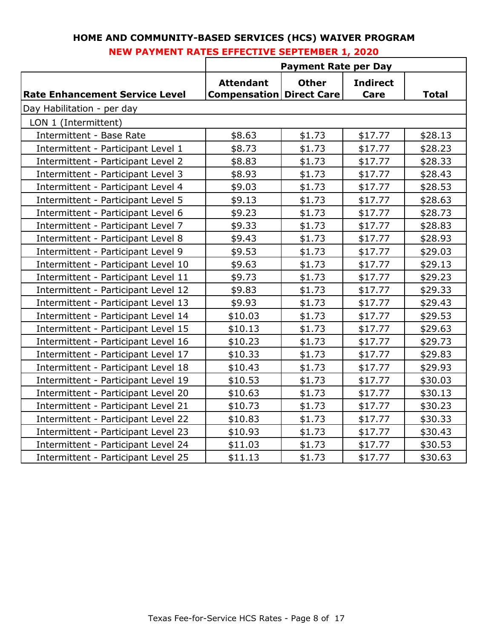|                                       | <b>Payment Rate per Day</b>                           |              |                         |              |  |  |  |
|---------------------------------------|-------------------------------------------------------|--------------|-------------------------|--------------|--|--|--|
| <b>Rate Enhancement Service Level</b> | <b>Attendant</b><br><b>Compensation   Direct Care</b> | <b>Other</b> | <b>Indirect</b><br>Care | <b>Total</b> |  |  |  |
| Day Habilitation - per day            |                                                       |              |                         |              |  |  |  |
| LON 1 (Intermittent)                  |                                                       |              |                         |              |  |  |  |
| Intermittent - Base Rate              | \$8.63                                                | \$1.73       | \$17.77                 | \$28.13      |  |  |  |
| Intermittent - Participant Level 1    | \$8.73                                                | \$1.73       | \$17.77                 | \$28.23      |  |  |  |
| Intermittent - Participant Level 2    | \$8.83                                                | \$1.73       | \$17.77                 | \$28.33      |  |  |  |
| Intermittent - Participant Level 3    | \$8.93                                                | \$1.73       | \$17.77                 | \$28.43      |  |  |  |
| Intermittent - Participant Level 4    | \$9.03                                                | \$1.73       | \$17.77                 | \$28.53      |  |  |  |
| Intermittent - Participant Level 5    | \$9.13                                                | \$1.73       | \$17.77                 | \$28.63      |  |  |  |
| Intermittent - Participant Level 6    | \$9.23                                                | \$1.73       | \$17.77                 | \$28.73      |  |  |  |
| Intermittent - Participant Level 7    | \$9.33                                                | \$1.73       | \$17.77                 | \$28.83      |  |  |  |
| Intermittent - Participant Level 8    | \$9.43                                                | \$1.73       | \$17.77                 | \$28.93      |  |  |  |
| Intermittent - Participant Level 9    | \$9.53                                                | \$1.73       | \$17.77                 | \$29.03      |  |  |  |
| Intermittent - Participant Level 10   | \$9.63                                                | \$1.73       | \$17.77                 | \$29.13      |  |  |  |
| Intermittent - Participant Level 11   | \$9.73                                                | \$1.73       | \$17.77                 | \$29.23      |  |  |  |
| Intermittent - Participant Level 12   | \$9.83                                                | \$1.73       | \$17.77                 | \$29.33      |  |  |  |
| Intermittent - Participant Level 13   | \$9.93                                                | \$1.73       | \$17.77                 | \$29.43      |  |  |  |
| Intermittent - Participant Level 14   | \$10.03                                               | \$1.73       | \$17.77                 | \$29.53      |  |  |  |
| Intermittent - Participant Level 15   | \$10.13                                               | \$1.73       | \$17.77                 | \$29.63      |  |  |  |
| Intermittent - Participant Level 16   | \$10.23                                               | \$1.73       | \$17.77                 | \$29.73      |  |  |  |
| Intermittent - Participant Level 17   | \$10.33                                               | \$1.73       | \$17.77                 | \$29.83      |  |  |  |
| Intermittent - Participant Level 18   | \$10.43                                               | \$1.73       | \$17.77                 | \$29.93      |  |  |  |
| Intermittent - Participant Level 19   | \$10.53                                               | \$1.73       | \$17.77                 | \$30.03      |  |  |  |
| Intermittent - Participant Level 20   | \$10.63                                               | \$1.73       | \$17.77                 | \$30.13      |  |  |  |
| Intermittent - Participant Level 21   | \$10.73                                               | \$1.73       | \$17.77                 | \$30.23      |  |  |  |
| Intermittent - Participant Level 22   | \$10.83                                               | \$1.73       | \$17.77                 | \$30.33      |  |  |  |
| Intermittent - Participant Level 23   | \$10.93                                               | \$1.73       | \$17.77                 | \$30.43      |  |  |  |
| Intermittent - Participant Level 24   | \$11.03                                               | \$1.73       | \$17.77                 | \$30.53      |  |  |  |
| Intermittent - Participant Level 25   | \$11.13                                               | \$1.73       | \$17.77                 | \$30.63      |  |  |  |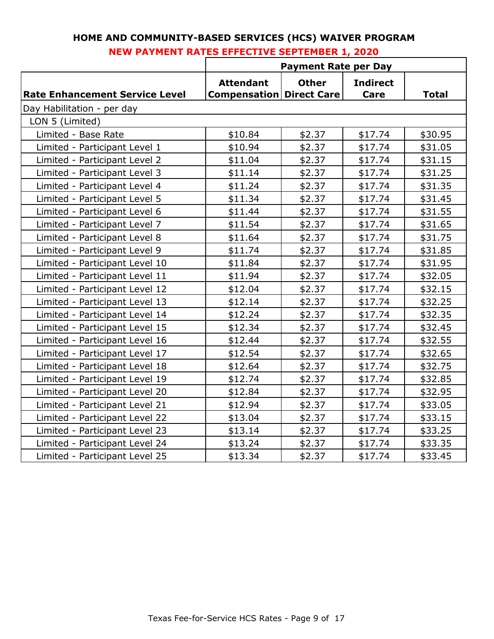|                                       | <b>Payment Rate per Day</b>                         |              |                         |              |  |  |  |
|---------------------------------------|-----------------------------------------------------|--------------|-------------------------|--------------|--|--|--|
| <b>Rate Enhancement Service Level</b> | <b>Attendant</b><br><b>Compensation Direct Care</b> | <b>Other</b> | <b>Indirect</b><br>Care | <b>Total</b> |  |  |  |
| Day Habilitation - per day            |                                                     |              |                         |              |  |  |  |
| LON 5 (Limited)                       |                                                     |              |                         |              |  |  |  |
| Limited - Base Rate                   | \$10.84                                             | \$2.37       | \$17.74                 | \$30.95      |  |  |  |
| Limited - Participant Level 1         | \$10.94                                             | \$2.37       | \$17.74                 | \$31.05      |  |  |  |
| Limited - Participant Level 2         | \$11.04                                             | \$2.37       | \$17.74                 | \$31.15      |  |  |  |
| Limited - Participant Level 3         | \$11.14                                             | \$2.37       | \$17.74                 | \$31.25      |  |  |  |
| Limited - Participant Level 4         | \$11.24                                             | \$2.37       | \$17.74                 | \$31.35      |  |  |  |
| Limited - Participant Level 5         | \$11.34                                             | \$2.37       | \$17.74                 | \$31.45      |  |  |  |
| Limited - Participant Level 6         | \$11.44                                             | \$2.37       | \$17.74                 | \$31.55      |  |  |  |
| Limited - Participant Level 7         | \$11.54                                             | \$2.37       | \$17.74                 | \$31.65      |  |  |  |
| Limited - Participant Level 8         | \$11.64                                             | \$2.37       | \$17.74                 | \$31.75      |  |  |  |
| Limited - Participant Level 9         | \$11.74                                             | \$2.37       | \$17.74                 | \$31.85      |  |  |  |
| Limited - Participant Level 10        | \$11.84                                             | \$2.37       | \$17.74                 | \$31.95      |  |  |  |
| Limited - Participant Level 11        | \$11.94                                             | \$2.37       | \$17.74                 | \$32.05      |  |  |  |
| Limited - Participant Level 12        | \$12.04                                             | \$2.37       | \$17.74                 | \$32.15      |  |  |  |
| Limited - Participant Level 13        | \$12.14                                             | \$2.37       | \$17.74                 | \$32.25      |  |  |  |
| Limited - Participant Level 14        | \$12.24                                             | \$2.37       | \$17.74                 | \$32.35      |  |  |  |
| Limited - Participant Level 15        | \$12.34                                             | \$2.37       | \$17.74                 | \$32.45      |  |  |  |
| Limited - Participant Level 16        | \$12.44                                             | \$2.37       | \$17.74                 | \$32.55      |  |  |  |
| Limited - Participant Level 17        | \$12.54                                             | \$2.37       | \$17.74                 | \$32.65      |  |  |  |
| Limited - Participant Level 18        | \$12.64                                             | \$2.37       | \$17.74                 | \$32.75      |  |  |  |
| Limited - Participant Level 19        | \$12.74                                             | \$2.37       | \$17.74                 | \$32.85      |  |  |  |
| Limited - Participant Level 20        | \$12.84                                             | \$2.37       | \$17.74                 | \$32.95      |  |  |  |
| Limited - Participant Level 21        | \$12.94                                             | \$2.37       | \$17.74                 | \$33.05      |  |  |  |
| Limited - Participant Level 22        | \$13.04                                             | \$2.37       | \$17.74                 | \$33.15      |  |  |  |
| Limited - Participant Level 23        | \$13.14                                             | \$2.37       | \$17.74                 | \$33.25      |  |  |  |
| Limited - Participant Level 24        | \$13.24                                             | \$2.37       | \$17.74                 | \$33.35      |  |  |  |
| Limited - Participant Level 25        | \$13.34                                             | \$2.37       | \$17.74                 | \$33.45      |  |  |  |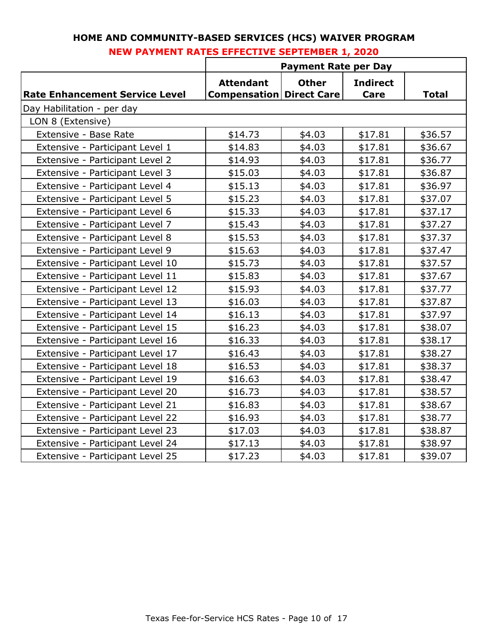|                                       | <b>Payment Rate per Day</b>                         |              |                         |              |  |  |  |
|---------------------------------------|-----------------------------------------------------|--------------|-------------------------|--------------|--|--|--|
| <b>Rate Enhancement Service Level</b> | <b>Attendant</b><br><b>Compensation Direct Care</b> | <b>Other</b> | <b>Indirect</b><br>Care | <b>Total</b> |  |  |  |
| Day Habilitation - per day            |                                                     |              |                         |              |  |  |  |
| LON 8 (Extensive)                     |                                                     |              |                         |              |  |  |  |
| Extensive - Base Rate                 | \$14.73                                             | \$4.03       | \$17.81                 | \$36.57      |  |  |  |
| Extensive - Participant Level 1       | \$14.83                                             | \$4.03       | \$17.81                 | \$36.67      |  |  |  |
| Extensive - Participant Level 2       | \$14.93                                             | \$4.03       | \$17.81                 | \$36.77      |  |  |  |
| Extensive - Participant Level 3       | \$15.03                                             | \$4.03       | \$17.81                 | \$36.87      |  |  |  |
| Extensive - Participant Level 4       | \$15.13                                             | \$4.03       | \$17.81                 | \$36.97      |  |  |  |
| Extensive - Participant Level 5       | \$15.23                                             | \$4.03       | \$17.81                 | \$37.07      |  |  |  |
| Extensive - Participant Level 6       | \$15.33                                             | \$4.03       | \$17.81                 | \$37.17      |  |  |  |
| Extensive - Participant Level 7       | \$15.43                                             | \$4.03       | \$17.81                 | \$37.27      |  |  |  |
| Extensive - Participant Level 8       | \$15.53                                             | \$4.03       | \$17.81                 | \$37.37      |  |  |  |
| Extensive - Participant Level 9       | \$15.63                                             | \$4.03       | \$17.81                 | \$37.47      |  |  |  |
| Extensive - Participant Level 10      | \$15.73                                             | \$4.03       | \$17.81                 | \$37.57      |  |  |  |
| Extensive - Participant Level 11      | \$15.83                                             | \$4.03       | \$17.81                 | \$37.67      |  |  |  |
| Extensive - Participant Level 12      | \$15.93                                             | \$4.03       | \$17.81                 | \$37.77      |  |  |  |
| Extensive - Participant Level 13      | \$16.03                                             | \$4.03       | \$17.81                 | \$37.87      |  |  |  |
| Extensive - Participant Level 14      | \$16.13                                             | \$4.03       | \$17.81                 | \$37.97      |  |  |  |
| Extensive - Participant Level 15      | \$16.23                                             | \$4.03       | \$17.81                 | \$38.07      |  |  |  |
| Extensive - Participant Level 16      | \$16.33                                             | \$4.03       | \$17.81                 | \$38.17      |  |  |  |
| Extensive - Participant Level 17      | \$16.43                                             | \$4.03       | \$17.81                 | \$38.27      |  |  |  |
| Extensive - Participant Level 18      | \$16.53                                             | \$4.03       | \$17.81                 | \$38.37      |  |  |  |
| Extensive - Participant Level 19      | \$16.63                                             | \$4.03       | \$17.81                 | \$38.47      |  |  |  |
| Extensive - Participant Level 20      | \$16.73                                             | \$4.03       | \$17.81                 | \$38.57      |  |  |  |
| Extensive - Participant Level 21      | \$16.83                                             | \$4.03       | \$17.81                 | \$38.67      |  |  |  |
| Extensive - Participant Level 22      | \$16.93                                             | \$4.03       | \$17.81                 | \$38.77      |  |  |  |
| Extensive - Participant Level 23      | \$17.03                                             | \$4.03       | \$17.81                 | \$38.87      |  |  |  |
| Extensive - Participant Level 24      | \$17.13                                             | \$4.03       | \$17.81                 | \$38.97      |  |  |  |
| Extensive - Participant Level 25      | \$17.23                                             | \$4.03       | \$17.81                 | \$39.07      |  |  |  |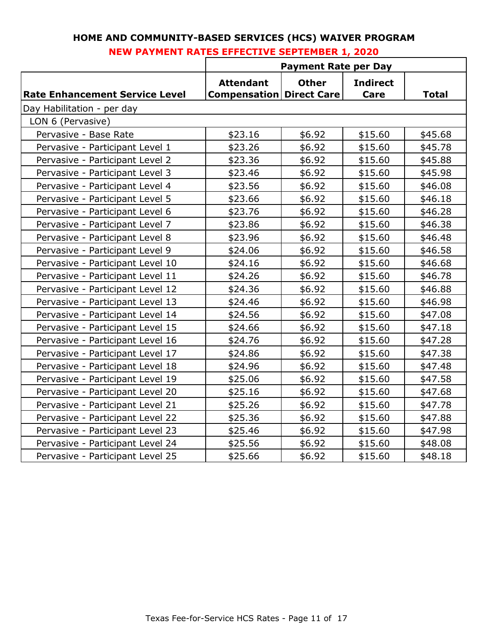|                                       | <b>Payment Rate per Day</b>                         |              |                         |              |  |  |  |
|---------------------------------------|-----------------------------------------------------|--------------|-------------------------|--------------|--|--|--|
| <b>Rate Enhancement Service Level</b> | <b>Attendant</b><br><b>Compensation Direct Care</b> | <b>Other</b> | <b>Indirect</b><br>Care | <b>Total</b> |  |  |  |
| Day Habilitation - per day            |                                                     |              |                         |              |  |  |  |
| LON 6 (Pervasive)                     |                                                     |              |                         |              |  |  |  |
| Pervasive - Base Rate                 | \$23.16                                             | \$6.92       | \$15.60                 | \$45.68      |  |  |  |
| Pervasive - Participant Level 1       | \$23.26                                             | \$6.92       | \$15.60                 | \$45.78      |  |  |  |
| Pervasive - Participant Level 2       | \$23.36                                             | \$6.92       | \$15.60                 | \$45.88      |  |  |  |
| Pervasive - Participant Level 3       | \$23.46                                             | \$6.92       | \$15.60                 | \$45.98      |  |  |  |
| Pervasive - Participant Level 4       | \$23.56                                             | \$6.92       | \$15.60                 | \$46.08      |  |  |  |
| Pervasive - Participant Level 5       | \$23.66                                             | \$6.92       | \$15.60                 | \$46.18      |  |  |  |
| Pervasive - Participant Level 6       | \$23.76                                             | \$6.92       | \$15.60                 | \$46.28      |  |  |  |
| Pervasive - Participant Level 7       | \$23.86                                             | \$6.92       | \$15.60                 | \$46.38      |  |  |  |
| Pervasive - Participant Level 8       | \$23.96                                             | \$6.92       | \$15.60                 | \$46.48      |  |  |  |
| Pervasive - Participant Level 9       | \$24.06                                             | \$6.92       | \$15.60                 | \$46.58      |  |  |  |
| Pervasive - Participant Level 10      | \$24.16                                             | \$6.92       | \$15.60                 | \$46.68      |  |  |  |
| Pervasive - Participant Level 11      | \$24.26                                             | \$6.92       | \$15.60                 | \$46.78      |  |  |  |
| Pervasive - Participant Level 12      | \$24.36                                             | \$6.92       | \$15.60                 | \$46.88      |  |  |  |
| Pervasive - Participant Level 13      | \$24.46                                             | \$6.92       | \$15.60                 | \$46.98      |  |  |  |
| Pervasive - Participant Level 14      | \$24.56                                             | \$6.92       | \$15.60                 | \$47.08      |  |  |  |
| Pervasive - Participant Level 15      | \$24.66                                             | \$6.92       | \$15.60                 | \$47.18      |  |  |  |
| Pervasive - Participant Level 16      | \$24.76                                             | \$6.92       | \$15.60                 | \$47.28      |  |  |  |
| Pervasive - Participant Level 17      | \$24.86                                             | \$6.92       | \$15.60                 | \$47.38      |  |  |  |
| Pervasive - Participant Level 18      | \$24.96                                             | \$6.92       | \$15.60                 | \$47.48      |  |  |  |
| Pervasive - Participant Level 19      | \$25.06                                             | \$6.92       | \$15.60                 | \$47.58      |  |  |  |
| Pervasive - Participant Level 20      | \$25.16                                             | \$6.92       | \$15.60                 | \$47.68      |  |  |  |
| Pervasive - Participant Level 21      | \$25.26                                             | \$6.92       | \$15.60                 | \$47.78      |  |  |  |
| Pervasive - Participant Level 22      | \$25.36                                             | \$6.92       | \$15.60                 | \$47.88      |  |  |  |
| Pervasive - Participant Level 23      | \$25.46                                             | \$6.92       | \$15.60                 | \$47.98      |  |  |  |
| Pervasive - Participant Level 24      | \$25.56                                             | \$6.92       | \$15.60                 | \$48.08      |  |  |  |
| Pervasive - Participant Level 25      | \$25.66                                             | \$6.92       | \$15.60                 | \$48.18      |  |  |  |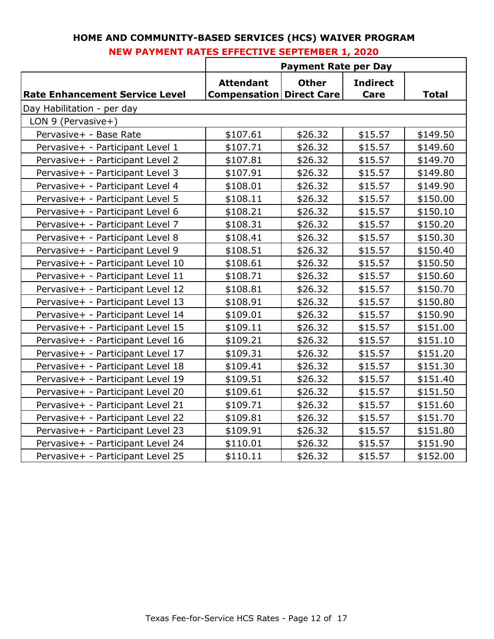|                                       | <b>Payment Rate per Day</b>                         |              |                         |              |  |  |  |
|---------------------------------------|-----------------------------------------------------|--------------|-------------------------|--------------|--|--|--|
| <b>Rate Enhancement Service Level</b> | <b>Attendant</b><br><b>Compensation Direct Care</b> | <b>Other</b> | <b>Indirect</b><br>Care | <b>Total</b> |  |  |  |
| Day Habilitation - per day            |                                                     |              |                         |              |  |  |  |
| LON 9 (Pervasive+)                    |                                                     |              |                         |              |  |  |  |
| Pervasive+ - Base Rate                | \$107.61                                            | \$26.32      | \$15.57                 | \$149.50     |  |  |  |
| Pervasive+ - Participant Level 1      | \$107.71                                            | \$26.32      | \$15.57                 | \$149.60     |  |  |  |
| Pervasive+ - Participant Level 2      | \$107.81                                            | \$26.32      | \$15.57                 | \$149.70     |  |  |  |
| Pervasive+ - Participant Level 3      | \$107.91                                            | \$26.32      | \$15.57                 | \$149.80     |  |  |  |
| Pervasive+ - Participant Level 4      | \$108.01                                            | \$26.32      | \$15.57                 | \$149.90     |  |  |  |
| Pervasive+ - Participant Level 5      | \$108.11                                            | \$26.32      | \$15.57                 | \$150.00     |  |  |  |
| Pervasive+ - Participant Level 6      | \$108.21                                            | \$26.32      | \$15.57                 | \$150.10     |  |  |  |
| Pervasive+ - Participant Level 7      | \$108.31                                            | \$26.32      | \$15.57                 | \$150.20     |  |  |  |
| Pervasive+ - Participant Level 8      | \$108.41                                            | \$26.32      | \$15.57                 | \$150.30     |  |  |  |
| Pervasive+ - Participant Level 9      | \$108.51                                            | \$26.32      | \$15.57                 | \$150.40     |  |  |  |
| Pervasive+ - Participant Level 10     | \$108.61                                            | \$26.32      | \$15.57                 | \$150.50     |  |  |  |
| Pervasive+ - Participant Level 11     | \$108.71                                            | \$26.32      | \$15.57                 | \$150.60     |  |  |  |
| Pervasive+ - Participant Level 12     | \$108.81                                            | \$26.32      | \$15.57                 | \$150.70     |  |  |  |
| Pervasive+ - Participant Level 13     | \$108.91                                            | \$26.32      | \$15.57                 | \$150.80     |  |  |  |
| Pervasive+ - Participant Level 14     | \$109.01                                            | \$26.32      | \$15.57                 | \$150.90     |  |  |  |
| Pervasive+ - Participant Level 15     | \$109.11                                            | \$26.32      | \$15.57                 | \$151.00     |  |  |  |
| Pervasive+ - Participant Level 16     | \$109.21                                            | \$26.32      | \$15.57                 | \$151.10     |  |  |  |
| Pervasive+ - Participant Level 17     | \$109.31                                            | \$26.32      | \$15.57                 | \$151.20     |  |  |  |
| Pervasive+ - Participant Level 18     | \$109.41                                            | \$26.32      | \$15.57                 | \$151.30     |  |  |  |
| Pervasive+ - Participant Level 19     | \$109.51                                            | \$26.32      | \$15.57                 | \$151.40     |  |  |  |
| Pervasive+ - Participant Level 20     | \$109.61                                            | \$26.32      | \$15.57                 | \$151.50     |  |  |  |
| Pervasive+ - Participant Level 21     | \$109.71                                            | \$26.32      | \$15.57                 | \$151.60     |  |  |  |
| Pervasive+ - Participant Level 22     | \$109.81                                            | \$26.32      | \$15.57                 | \$151.70     |  |  |  |
| Pervasive+ - Participant Level 23     | \$109.91                                            | \$26.32      | \$15.57                 | \$151.80     |  |  |  |
| Pervasive+ - Participant Level 24     | \$110.01                                            | \$26.32      | \$15.57                 | \$151.90     |  |  |  |
| Pervasive+ - Participant Level 25     | \$110.11                                            | \$26.32      | \$15.57                 | \$152.00     |  |  |  |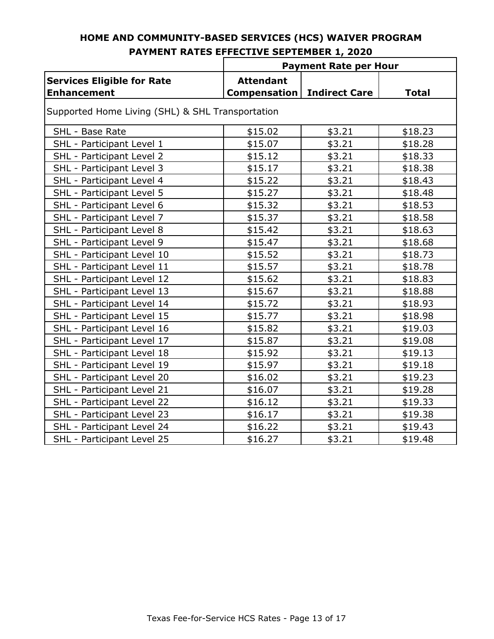|                                                         | <b>Payment Rate per Hour</b>            |                      |              |  |  |
|---------------------------------------------------------|-----------------------------------------|----------------------|--------------|--|--|
| <b>Services Eligible for Rate</b><br><b>Enhancement</b> | <b>Attendant</b><br><b>Compensation</b> | <b>Indirect Care</b> | <b>Total</b> |  |  |
| Supported Home Living (SHL) & SHL Transportation        |                                         |                      |              |  |  |
| SHL - Base Rate                                         | \$15.02                                 | \$3.21               | \$18.23      |  |  |
| SHL - Participant Level 1                               | \$15.07                                 | \$3.21               | \$18.28      |  |  |
| SHL - Participant Level 2                               | \$15.12                                 | \$3.21               | \$18.33      |  |  |
| SHL - Participant Level 3                               | \$15.17                                 | \$3.21               | \$18.38      |  |  |
| SHL - Participant Level 4                               | \$15.22                                 | \$3.21               | \$18.43      |  |  |
| SHL - Participant Level 5                               | \$15.27                                 | \$3.21               | \$18.48      |  |  |
| SHL - Participant Level 6                               | \$15.32                                 | \$3.21               | \$18.53      |  |  |
| SHL - Participant Level 7                               | \$15.37                                 | \$3.21               | \$18.58      |  |  |
| SHL - Participant Level 8                               | \$15.42                                 | \$3.21               | \$18.63      |  |  |
| SHL - Participant Level 9                               | \$15.47                                 | \$3.21               | \$18.68      |  |  |
| SHL - Participant Level 10                              | \$15.52                                 | \$3.21               | \$18.73      |  |  |
| SHL - Participant Level 11                              | \$15.57                                 | \$3.21               | \$18.78      |  |  |
| SHL - Participant Level 12                              | \$15.62                                 | \$3.21               | \$18.83      |  |  |
| SHL - Participant Level 13                              | \$15.67                                 | \$3.21               | \$18.88      |  |  |
| SHL - Participant Level 14                              | \$15.72                                 | \$3.21               | \$18.93      |  |  |
| SHL - Participant Level 15                              | \$15.77                                 | \$3.21               | \$18.98      |  |  |
| SHL - Participant Level 16                              | \$15.82                                 | \$3.21               | \$19.03      |  |  |
| SHL - Participant Level 17                              | \$15.87                                 | \$3.21               | \$19.08      |  |  |
| SHL - Participant Level 18                              | \$15.92                                 | \$3.21               | \$19.13      |  |  |
| SHL - Participant Level 19                              | \$15.97                                 | \$3.21               | \$19.18      |  |  |
| SHL - Participant Level 20                              | \$16.02                                 | \$3.21               | \$19.23      |  |  |
| SHL - Participant Level 21                              | \$16.07                                 | \$3.21               | \$19.28      |  |  |
| SHL - Participant Level 22                              | \$16.12                                 | \$3.21               | \$19.33      |  |  |
| SHL - Participant Level 23                              | \$16.17                                 | \$3.21               | \$19.38      |  |  |
| SHL - Participant Level 24                              | \$16.22                                 | \$3.21               | \$19.43      |  |  |
| SHL - Participant Level 25                              | \$16.27                                 | \$3.21               | \$19.48      |  |  |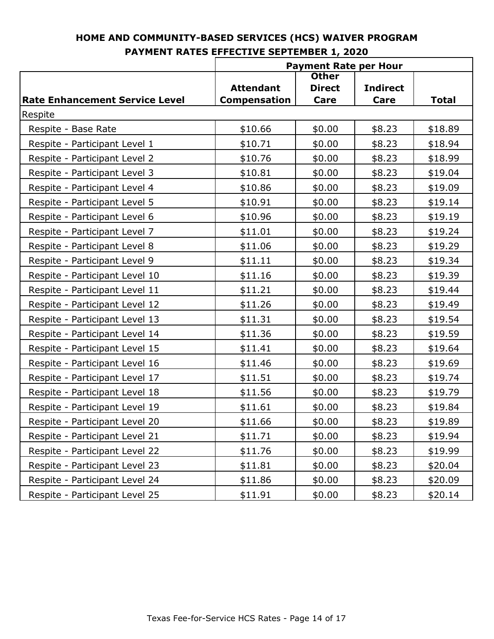|                                       | <b>Payment Rate per Hour</b>            |                       |                         |              |
|---------------------------------------|-----------------------------------------|-----------------------|-------------------------|--------------|
|                                       |                                         | <b>Other</b>          |                         |              |
| <b>Rate Enhancement Service Level</b> | <b>Attendant</b><br><b>Compensation</b> | <b>Direct</b><br>Care | <b>Indirect</b><br>Care | <b>Total</b> |
| Respite                               |                                         |                       |                         |              |
| Respite - Base Rate                   | \$10.66                                 | \$0.00                | \$8.23                  | \$18.89      |
| Respite - Participant Level 1         | \$10.71                                 | \$0.00                | \$8.23                  | \$18.94      |
| Respite - Participant Level 2         | \$10.76                                 | \$0.00                | \$8.23                  | \$18.99      |
| Respite - Participant Level 3         | \$10.81                                 | \$0.00                | \$8.23                  | \$19.04      |
| Respite - Participant Level 4         | \$10.86                                 | \$0.00                | \$8.23                  | \$19.09      |
|                                       | \$10.91                                 | \$0.00                | \$8.23                  | \$19.14      |
| Respite - Participant Level 5         |                                         |                       |                         |              |
| Respite - Participant Level 6         | \$10.96                                 | \$0.00                | \$8.23                  | \$19.19      |
| Respite - Participant Level 7         | \$11.01                                 | \$0.00                | \$8.23                  | \$19.24      |
| Respite - Participant Level 8         | \$11.06                                 | \$0.00                | \$8.23                  | \$19.29      |
| Respite - Participant Level 9         | \$11.11                                 | \$0.00                | \$8.23                  | \$19.34      |
| Respite - Participant Level 10        | \$11.16                                 | \$0.00                | \$8.23                  | \$19.39      |
| Respite - Participant Level 11        | \$11.21                                 | \$0.00                | \$8.23                  | \$19.44      |
| Respite - Participant Level 12        | \$11.26                                 | \$0.00                | \$8.23                  | \$19.49      |
| Respite - Participant Level 13        | \$11.31                                 | \$0.00                | \$8.23                  | \$19.54      |
| Respite - Participant Level 14        | \$11.36                                 | \$0.00                | \$8.23                  | \$19.59      |
| Respite - Participant Level 15        | \$11.41                                 | \$0.00                | \$8.23                  | \$19.64      |
| Respite - Participant Level 16        | \$11.46                                 | \$0.00                | \$8.23                  | \$19.69      |
| Respite - Participant Level 17        | \$11.51                                 | \$0.00                | \$8.23                  | \$19.74      |
| Respite - Participant Level 18        | \$11.56                                 | \$0.00                | \$8.23                  | \$19.79      |
| Respite - Participant Level 19        | \$11.61                                 | \$0.00                | \$8.23                  | \$19.84      |
| Respite - Participant Level 20        | \$11.66                                 | \$0.00                | \$8.23                  | \$19.89      |
| Respite - Participant Level 21        | \$11.71                                 | \$0.00                | \$8.23                  | \$19.94      |
| Respite - Participant Level 22        | \$11.76                                 | \$0.00                | \$8.23                  | \$19.99      |
| Respite - Participant Level 23        | \$11.81                                 | \$0.00                | \$8.23                  | \$20.04      |
| Respite - Participant Level 24        | \$11.86                                 | \$0.00                | \$8.23                  | \$20.09      |
| Respite - Participant Level 25        | \$11.91                                 | \$0.00                | \$8.23                  | \$20.14      |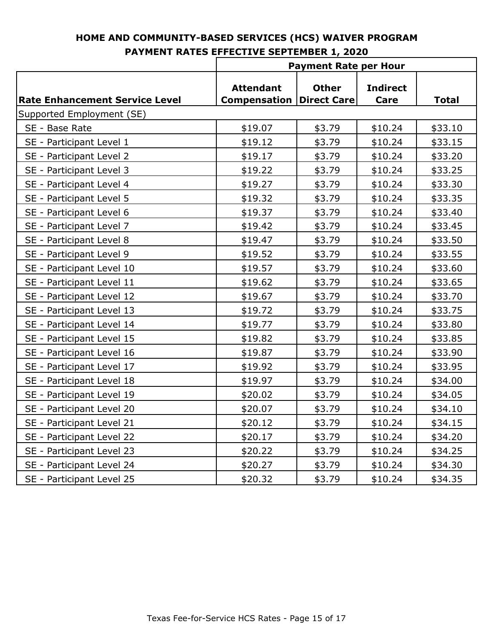|                                       | <b>Payment Rate per Hour</b>            |                                    |                         |              |
|---------------------------------------|-----------------------------------------|------------------------------------|-------------------------|--------------|
| <b>Rate Enhancement Service Level</b> | <b>Attendant</b><br><b>Compensation</b> | <b>Other</b><br><b>Direct Care</b> | <b>Indirect</b><br>Care | <b>Total</b> |
| Supported Employment (SE)             |                                         |                                    |                         |              |
| SE - Base Rate                        | \$19.07                                 | \$3.79                             | \$10.24                 | \$33.10      |
| SE - Participant Level 1              | \$19.12                                 | \$3.79                             | \$10.24                 | \$33.15      |
| SE - Participant Level 2              | \$19.17                                 | \$3.79                             | \$10.24                 | \$33.20      |
| SE - Participant Level 3              | \$19.22                                 | \$3.79                             | \$10.24                 | \$33.25      |
| SE - Participant Level 4              | \$19.27                                 | \$3.79                             | \$10.24                 | \$33.30      |
| SE - Participant Level 5              | \$19.32                                 | \$3.79                             | \$10.24                 | \$33.35      |
| SE - Participant Level 6              | \$19.37                                 | \$3.79                             | \$10.24                 | \$33.40      |
| SE - Participant Level 7              | \$19.42                                 | \$3.79                             | \$10.24                 | \$33.45      |
| SE - Participant Level 8              | \$19.47                                 | \$3.79                             | \$10.24                 | \$33.50      |
| SE - Participant Level 9              | \$19.52                                 | \$3.79                             | \$10.24                 | \$33.55      |
| SE - Participant Level 10             | \$19.57                                 | \$3.79                             | \$10.24                 | \$33.60      |
| SE - Participant Level 11             | \$19.62                                 | \$3.79                             | \$10.24                 | \$33.65      |
| SE - Participant Level 12             | \$19.67                                 | \$3.79                             | \$10.24                 | \$33.70      |
| SE - Participant Level 13             | \$19.72                                 | \$3.79                             | \$10.24                 | \$33.75      |
| SE - Participant Level 14             | \$19.77                                 | \$3.79                             | \$10.24                 | \$33.80      |
| SE - Participant Level 15             | \$19.82                                 | \$3.79                             | \$10.24                 | \$33.85      |
| SE - Participant Level 16             | \$19.87                                 | \$3.79                             | \$10.24                 | \$33.90      |
| SE - Participant Level 17             | \$19.92                                 | \$3.79                             | \$10.24                 | \$33.95      |
| SE - Participant Level 18             | \$19.97                                 | \$3.79                             | \$10.24                 | \$34.00      |
| SE - Participant Level 19             | \$20.02                                 | \$3.79                             | \$10.24                 | \$34.05      |
| SE - Participant Level 20             | \$20.07                                 | \$3.79                             | \$10.24                 | \$34.10      |
| SE - Participant Level 21             | \$20.12                                 | \$3.79                             | \$10.24                 | \$34.15      |
| SE - Participant Level 22             | \$20.17                                 | \$3.79                             | \$10.24                 | \$34.20      |
| SE - Participant Level 23             | \$20.22                                 | \$3.79                             | \$10.24                 | \$34.25      |
| SE - Participant Level 24             | \$20.27                                 | \$3.79                             | \$10.24                 | \$34.30      |
| SE - Participant Level 25             | \$20.32                                 | \$3.79                             | \$10.24                 | \$34.35      |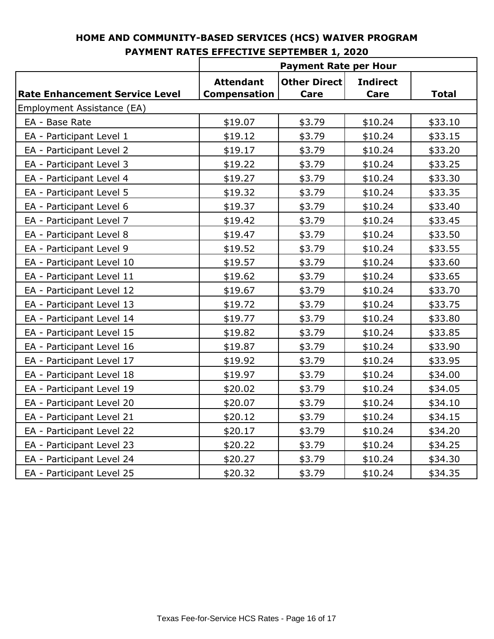|                                       | <b>Payment Rate per Hour</b> |                     |                 |              |
|---------------------------------------|------------------------------|---------------------|-----------------|--------------|
|                                       | <b>Attendant</b>             | <b>Other Direct</b> | <b>Indirect</b> |              |
| <b>Rate Enhancement Service Level</b> | <b>Compensation</b>          | <b>Care</b>         | Care            | <b>Total</b> |
| Employment Assistance (EA)            |                              |                     |                 |              |
| EA - Base Rate                        | \$19.07                      | \$3.79              | \$10.24         | \$33.10      |
| EA - Participant Level 1              | \$19.12                      | \$3.79              | \$10.24         | \$33.15      |
| EA - Participant Level 2              | \$19.17                      | \$3.79              | \$10.24         | \$33.20      |
| EA - Participant Level 3              | \$19.22                      | \$3.79              | \$10.24         | \$33.25      |
| EA - Participant Level 4              | \$19.27                      | \$3.79              | \$10.24         | \$33.30      |
| EA - Participant Level 5              | \$19.32                      | \$3.79              | \$10.24         | \$33.35      |
| EA - Participant Level 6              | \$19.37                      | \$3.79              | \$10.24         | \$33.40      |
| EA - Participant Level 7              | \$19.42                      | \$3.79              | \$10.24         | \$33.45      |
| EA - Participant Level 8              | \$19.47                      | \$3.79              | \$10.24         | \$33.50      |
| EA - Participant Level 9              | \$19.52                      | \$3.79              | \$10.24         | \$33.55      |
| EA - Participant Level 10             | \$19.57                      | \$3.79              | \$10.24         | \$33.60      |
| EA - Participant Level 11             | \$19.62                      | \$3.79              | \$10.24         | \$33.65      |
| EA - Participant Level 12             | \$19.67                      | \$3.79              | \$10.24         | \$33.70      |
| EA - Participant Level 13             | \$19.72                      | \$3.79              | \$10.24         | \$33.75      |
| EA - Participant Level 14             | \$19.77                      | \$3.79              | \$10.24         | \$33.80      |
| EA - Participant Level 15             | \$19.82                      | \$3.79              | \$10.24         | \$33.85      |
| EA - Participant Level 16             | \$19.87                      | \$3.79              | \$10.24         | \$33.90      |
| EA - Participant Level 17             | \$19.92                      | \$3.79              | \$10.24         | \$33.95      |
| EA - Participant Level 18             | \$19.97                      | \$3.79              | \$10.24         | \$34.00      |
| EA - Participant Level 19             | \$20.02                      | \$3.79              | \$10.24         | \$34.05      |
| EA - Participant Level 20             | \$20.07                      | \$3.79              | \$10.24         | \$34.10      |
| EA - Participant Level 21             | \$20.12                      | \$3.79              | \$10.24         | \$34.15      |
| EA - Participant Level 22             | \$20.17                      | \$3.79              | \$10.24         | \$34.20      |
| EA - Participant Level 23             | \$20.22                      | \$3.79              | \$10.24         | \$34.25      |
| EA - Participant Level 24             | \$20.27                      | \$3.79              | \$10.24         | \$34.30      |
| EA - Participant Level 25             | \$20.32                      | \$3.79              | \$10.24         | \$34.35      |